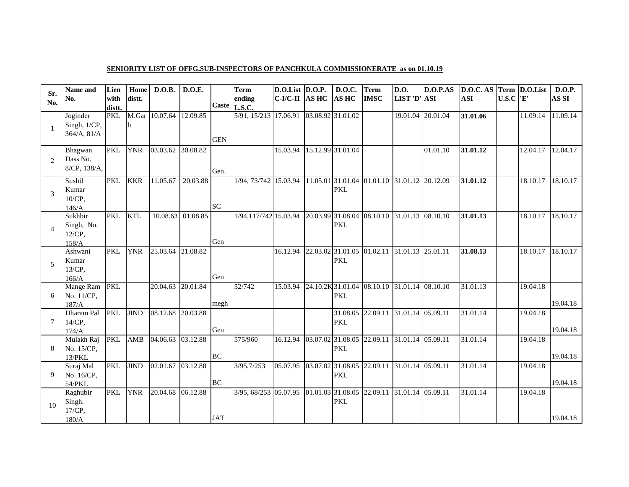## **SENIORITY LIST OF OFFG.SUB-INSPECTORS OF PANCHKULA COMMISSIONERATE as on 01.10.19**

| Sr.                    | Name and                                 | Lien           | Home        | D.O.B.                  | D.O.E.                |            | Term                                                               | $D.O.List$ $D.O.P.$ | <b>D.O.C.</b>                   | <b>Term</b> | <b>D.O.</b>                                  | D.O.P.AS | D.O.C. AS Term D.O.List |              |          | <b>D.O.P.</b> |
|------------------------|------------------------------------------|----------------|-------------|-------------------------|-----------------------|------------|--------------------------------------------------------------------|---------------------|---------------------------------|-------------|----------------------------------------------|----------|-------------------------|--------------|----------|---------------|
| No.                    | No.                                      | with<br>distt. | distt.      |                         |                       |            | ending<br>Caste L.S.C.                                             | $C$ -I/C-II AS HC   | <b>AS HC</b>                    | <b>IMSC</b> | LIST 'D' ASI                                 |          | <b>ASI</b>              | $U.S.C$ $E'$ |          | AS SI         |
|                        | Joginder<br>Singh, 1/CP,<br>364/A, 81/A  | <b>PKL</b>     | lh.         | M.Gar 10.07.64 12.09.85 |                       | <b>GEN</b> | 5/91, 15/213 17.06.91 03.08.92 31.01.02                            |                     |                                 |             | 19.01.04                                     | 20.01.04 | 31.01.06                |              | 11.09.14 | 11.09.14      |
| $\mathcal{D}_{\alpha}$ | Bhagwan<br>Dass No.<br>8/CP, 138/A,      | <b>PKL</b>     | <b>YNR</b>  | 03.03.62                | $30.08.\overline{82}$ | Gen.       |                                                                    | 15.03.94            | 15.12.99 31.01.04               |             |                                              | 01.01.10 | 31.01.12                |              | 12.04.17 | 12.04.17      |
| 3                      | Sushil<br>Kumar<br>10/CP,<br>146/A       | <b>PKL</b>     | <b>KKR</b>  | 11.05.67                | 20.03.88              | <b>SC</b>  | 1/94, 73/742 15.03.94                                              |                     | <b>PKL</b>                      |             | 11.05.01 31.01.04 01.01.10 31.01.12 20.12.09 |          | 31.01.12                |              | 18.10.17 | 18.10.17      |
| $\overline{4}$         | Sukhbir<br>Singh, No.<br>12/CP,<br>158/A | <b>PKL</b>     | <b>KTL</b>  |                         | 10.08.63 01.08.85     | Gen        | 1/94,117/742 15.03.94                                              |                     | 20.03.99 31.08.04<br><b>PKL</b> |             | 08.10.10 31.01.13 08.10.10                   |          | 31.01.13                |              | 18.10.17 | 18.10.17      |
| 5                      | Ashwani<br>Kumar<br>13/CP,<br>166/A      | <b>PKL</b>     | <b>YNR</b>  | 25.03.64 21.08.82       |                       | Gen        |                                                                    | 16.12.94            | <b>PKL</b>                      |             | 22.03.02 31.01.05 01.02.11 31.01.13 25.01.11 |          | 31.08.13                |              | 18.10.17 | 18.10.17      |
| 6                      | Mange Ram<br>No. 11/CP,<br>187/A         | <b>PKL</b>     |             | 20.04.63 20.01.84       |                       | megh       | 52/742                                                             | 15.03.94            | <b>PKL</b>                      |             | 24.10.2K 31.01.04 08.10.10 31.01.14 08.10.10 |          | 31.01.13                |              | 19.04.18 | 19.04.18      |
| 7                      | Dharam Pal<br>14/CP,<br>174/A            | <b>PKL</b>     | <b>JIND</b> | 08.12.68                | 20.03.88              | Gen        |                                                                    |                     | <b>PKL</b>                      |             | 31.08.05 22.09.11 31.01.14 05.09.11          |          | 31.01.14                |              | 19.04.18 | 19.04.18      |
| 8                      | Mulakh Raj<br>No. 15/CP,<br>13/PKL       | <b>PKL</b>     | AMB         | 04.06.63                | 03.12.88              | <b>BC</b>  | 575/960                                                            | 16.12.94            | <b>PKL</b>                      |             | 03.07.02 31.08.05 22.09.11 31.01.14 05.09.11 |          | 31.01.14                |              | 19.04.18 | 19.04.18      |
| $\mathbf Q$            | Suraj Mal<br>No. 16/CP,<br>54/PKL        | <b>PKL</b>     | <b>JIND</b> | 02.01.67 03.12.88       |                       | <b>BC</b>  | 3/95,7/253                                                         | 05.07.95            | <b>PKL</b>                      |             | 03.07.02 31.08.05 22.09.11 31.01.14 05.09.11 |          | 31.01.14                |              | 19.04.18 | 19.04.18      |
| 10                     | Raghubir<br>Singh.<br>17/CP,<br>$180/A$  | <b>PKL</b>     | <b>YNR</b>  | 20.04.68 06.12.88       |                       | <b>JAT</b> | 3/95, 68/253 05.07.95 01.01.03 31.08.05 22.09.11 31.01.14 05.09.11 |                     | <b>PKL</b>                      |             |                                              |          | 31.01.14                |              | 19.04.18 | 19.04.18      |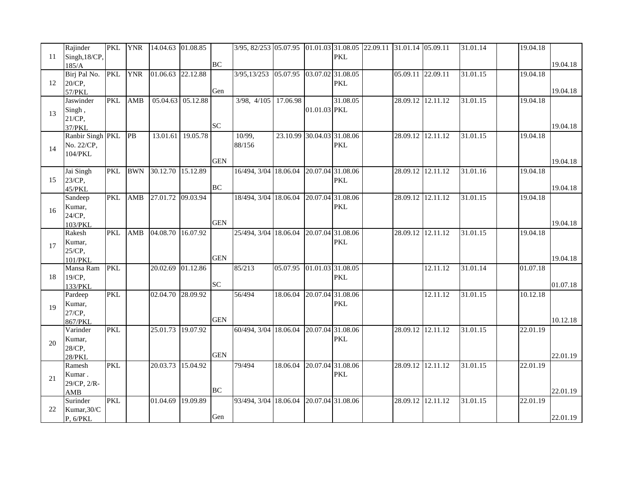|    | Rajinder         | <b>PKL</b> | <b>YNR</b> | 14.04.63 01.08.85 |          |            | 3/95, 82/253 05.07.95 01.01.03 31.08.05 22.09.11 31.01.14 05.09.11 |          |                   |                   |                   |          | 31.01.14 | 19.04.18 |          |
|----|------------------|------------|------------|-------------------|----------|------------|--------------------------------------------------------------------|----------|-------------------|-------------------|-------------------|----------|----------|----------|----------|
| 11 | Singh, 18/CP,    |            |            |                   |          |            |                                                                    |          |                   | <b>PKL</b>        |                   |          |          |          |          |
|    | 185/A            |            |            |                   |          | <b>BC</b>  |                                                                    |          |                   |                   |                   |          |          |          | 19.04.18 |
|    | Birj Pal No.     | <b>PKL</b> | <b>YNR</b> | 01.06.63          | 22.12.88 |            | 3/95,13/253 05.07.95 03.07.02 31.08.05                             |          |                   |                   | 05.09.11 22.09.11 |          | 31.01.15 | 19.04.18 |          |
| 12 | 20/CP,           |            |            |                   |          |            |                                                                    |          |                   | <b>PKL</b>        |                   |          |          |          |          |
|    | 57/PKL           |            |            |                   |          | Gen        |                                                                    |          |                   |                   |                   |          |          |          | 19.04.18 |
| 13 | Jaswinder        | <b>PKL</b> | AMB        | 05.04.63          | 05.12.88 |            | 3/98, 4/105 17.06.98                                               |          |                   | 31.08.05          | 28.09.12 12.11.12 |          | 31.01.15 | 19.04.18 |          |
|    | Singh,           |            |            |                   |          |            |                                                                    |          | 01.01.03 PKL      |                   |                   |          |          |          |          |
|    | 21/CP,           |            |            |                   |          |            |                                                                    |          |                   |                   |                   |          |          |          |          |
|    | 37/PKL           |            |            |                   |          | <b>SC</b>  |                                                                    |          |                   |                   |                   |          |          |          | 19.04.18 |
|    | Ranbir Singh PKL |            | PB         | 13.01.61          | 19.05.78 |            | 10/99,                                                             | 23.10.99 |                   | 30.04.03 31.08.06 | 28.09.12 12.11.12 |          | 31.01.15 | 19.04.18 |          |
|    | No. 22/CP,       |            |            |                   |          |            | 88/156                                                             |          |                   | <b>PKL</b>        |                   |          |          |          |          |
| 14 | 104/PKL          |            |            |                   |          |            |                                                                    |          |                   |                   |                   |          |          |          |          |
|    |                  |            |            |                   |          | <b>GEN</b> |                                                                    |          |                   |                   |                   |          |          |          | 19.04.18 |
|    | Jai Singh        | <b>PKL</b> | <b>BWN</b> | 30.12.70          | 15.12.89 |            | 16/494, 3/04 18.06.04                                              |          | 20.07.04 31.08.06 |                   | 28.09.12 12.11.12 |          | 31.01.16 | 19.04.18 |          |
| 15 | 23/CP,           |            |            |                   |          |            |                                                                    |          |                   | <b>PKL</b>        |                   |          |          |          |          |
|    | 45/PKL           |            |            |                   |          | <b>BC</b>  |                                                                    |          |                   |                   |                   |          |          |          | 19.04.18 |
|    | Sandeep          | <b>PKL</b> | AMB        | 27.01.72          | 09.03.94 |            | 18/494, 3/04 18.06.04                                              |          | 20.07.04          | 31.08.06          | 28.09.12 12.11.12 |          | 31.01.15 | 19.04.18 |          |
| 16 | Kumar,           |            |            |                   |          |            |                                                                    |          |                   | <b>PKL</b>        |                   |          |          |          |          |
|    | 24/CP,           |            |            |                   |          |            |                                                                    |          |                   |                   |                   |          |          |          |          |
|    | 103/PKL          |            |            |                   |          | <b>GEN</b> |                                                                    |          |                   |                   |                   |          |          |          | 19.04.18 |
|    | Rakesh           | <b>PKL</b> | AMB        | 04.08.70          | 16.07.92 |            | 25/494, 3/04 18.06.04                                              |          | 20.07.04 31.08.06 |                   | 28.09.12 12.11.12 |          | 31.01.15 | 19.04.18 |          |
| 17 | Kumar,           |            |            |                   |          |            |                                                                    |          |                   | <b>PKL</b>        |                   |          |          |          |          |
|    | 25/CP,           |            |            |                   |          |            |                                                                    |          |                   |                   |                   |          |          |          |          |
|    | 101/PKL          |            |            |                   |          | <b>GEN</b> |                                                                    |          |                   |                   |                   |          |          |          | 19.04.18 |
|    | Mansa Ram        | <b>PKL</b> |            | 20.02.69          | 01.12.86 |            | 85/213                                                             | 05.07.95 | 01.01.03 31.08.05 |                   |                   | 12.11.12 | 31.01.14 | 01.07.18 |          |
| 18 | 19/CP,           |            |            |                   |          |            |                                                                    |          |                   | <b>PKL</b>        |                   |          |          |          |          |
|    | 133/PKL          |            |            |                   |          | <b>SC</b>  |                                                                    |          |                   |                   |                   |          |          |          | 01.07.18 |
|    | Pardeep          | <b>PKL</b> |            | 02.04.70          | 28.09.92 |            | 56/494                                                             | 18.06.04 |                   | 20.07.04 31.08.06 |                   | 12.11.12 | 31.01.15 | 10.12.18 |          |
| 19 | Kumar,           |            |            |                   |          |            |                                                                    |          |                   | <b>PKL</b>        |                   |          |          |          |          |
|    | 27/CP,           |            |            |                   |          |            |                                                                    |          |                   |                   |                   |          |          |          |          |
|    | 867/PKL          |            |            |                   |          | <b>GEN</b> |                                                                    |          |                   |                   |                   |          |          |          | 10.12.18 |
|    | Varinder         | <b>PKL</b> |            | 25.01.73          | 19.07.92 |            | 60/494, 3/04 18.06.04                                              |          |                   | 20.07.04 31.08.06 | 28.09.12 12.11.12 |          | 31.01.15 | 22.01.19 |          |
| 20 | Kumar,           |            |            |                   |          |            |                                                                    |          |                   | <b>PKL</b>        |                   |          |          |          |          |
|    | 28/CP,           |            |            |                   |          |            |                                                                    |          |                   |                   |                   |          |          |          |          |
|    | 28/PKL           |            |            |                   |          | <b>GEN</b> |                                                                    |          |                   |                   |                   |          |          |          | 22.01.19 |
|    | Ramesh           | <b>PKL</b> |            | 20.03.73          | 15.04.92 |            | 79/494                                                             | 18.06.04 | 20.07.04 31.08.06 |                   | 28.09.12 12.11.12 |          | 31.01.15 | 22.01.19 |          |
| 21 | Kumar.           |            |            |                   |          |            |                                                                    |          |                   | <b>PKL</b>        |                   |          |          |          |          |
|    | 29/CP, 2/R-      |            |            |                   |          |            |                                                                    |          |                   |                   |                   |          |          |          |          |
|    | AMB              |            |            |                   |          | <b>BC</b>  |                                                                    |          |                   |                   |                   |          |          |          | 22.01.19 |
|    | Surinder         | <b>PKL</b> |            | 01.04.69          | 19.09.89 |            | 93/494, 3/04 18.06.04                                              |          | 20.07.04 31.08.06 |                   | 28.09.12 12.11.12 |          | 31.01.15 | 22.01.19 |          |
| 22 | Kumar, 30/C      |            |            |                   |          |            |                                                                    |          |                   |                   |                   |          |          |          |          |
|    | P, 6/PKL         |            |            |                   |          | Gen        |                                                                    |          |                   |                   |                   |          |          |          | 22.01.19 |